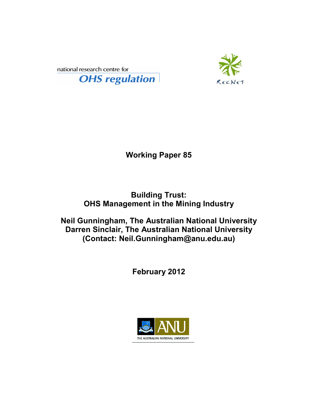



**Working Paper 85** 

**Building Trust: OHS Management in the Mining Industry** 

**Neil Gunningham, The Australian National University Darren Sinclair, The Australian National University (Contact: Neil.Gunningham@anu.edu.au)** 

**February 2012** 

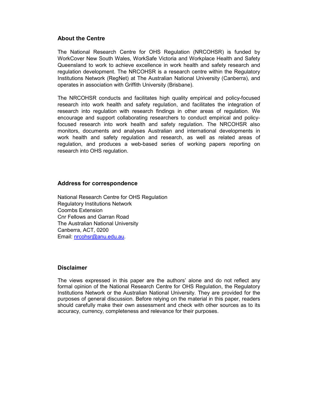## **About the Centre**

The National Research Centre for OHS Regulation (NRCOHSR) is funded by WorkCover New South Wales, WorkSafe Victoria and Workplace Health and Safety Queensland to work to achieve excellence in work health and safety research and regulation development. The NRCOHSR is a research centre within the Regulatory Institutions Network (RegNet) at The Australian National University (Canberra), and operates in association with Griffith University (Brisbane).

The NRCOHSR conducts and facilitates high quality empirical and policy-focused research into work health and safety regulation, and facilitates the integration of research into regulation with research findings in other areas of regulation. We encourage and support collaborating researchers to conduct empirical and policyfocused research into work health and safety regulation. The NRCOHSR also monitors, documents and analyses Australian and international developments in work health and safety regulation and research, as well as related areas of regulation, and produces a web-based series of working papers reporting on research into OHS regulation.

### **Address for correspondence**

National Research Centre for OHS Regulation Regulatory Institutions Network Coombs Extension Cnr Fellows and Garran Road The Australian National University Canberra, ACT, 0200 Email: nrcohsr@anu.edu.au.

#### **Disclaimer**

The views expressed in this paper are the authors' alone and do not reflect any formal opinion of the National Research Centre for OHS Regulation, the Regulatory Institutions Network or the Australian National University. They are provided for the purposes of general discussion. Before relying on the material in this paper, readers should carefully make their own assessment and check with other sources as to its accuracy, currency, completeness and relevance for their purposes.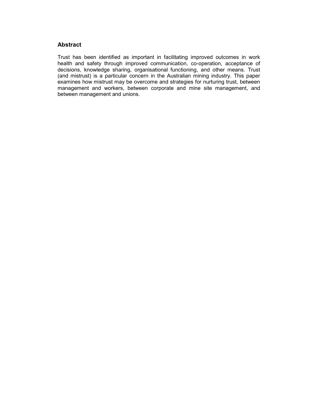## **Abstract**

Trust has been identified as important in facilitating improved outcomes in work health and safety through improved communication, co-operation, acceptance of decisions, knowledge sharing, organisational functioning, and other means. Trust (and mistrust) is a particular concern in the Australian mining industry. This paper examines how mistrust may be overcome and strategies for nurturing trust, between management and workers, between corporate and mine site management, and between management and unions.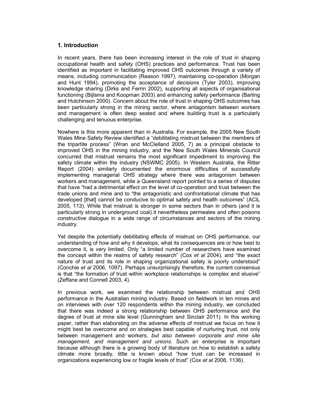## **1. Introduction**

In recent years, there has been increasing interest in the role of trust in shaping occupational health and safety (OHS) practices and performance. Trust has been identified as important in facilitating improved OHS outcomes through a variety of means, including communication (Reason 1997), maintaining co-operation (Morgan and Hunt 1994), promoting the acceptance of decisions (Tyler 2003), improving knowledge sharing (Dirks and Ferrin 2002), supporting all aspects of organisational functioning (Bijlsma and Koopman 2003) and enhancing safety performance (Barling and Hutchinson 2000). Concern about the role of trust in shaping OHS outcomes has been particularly strong in the mining sector, where antagonism between workers and management is often deep seated and where building trust is a particularly challenging and tenuous enterprise.

Nowhere is this more apparent than in Australia. For example, the 2005 New South Wales Mine Safety Review identified a "debilitating mistrust between the members of the tripartite process" (Wran and McClelland 2005, 7) as a principal obstacle to improved OHS in the mining industry, and the New South Wales Minerals Council concurred that mistrust remains the most significant impediment to improving the safety climate within the industry (NSWMC 2005). In Western Australia, the Ritter Report (2004) similarly documented the enormous difficulties of successfully implementing managerial OHS strategy where there was antagonism between workers and management, while a Queensland report pointed to a series of disputes that have "had a detrimental effect on the level of co-operation and trust between the trade unions and mine and to "the antagonistic and confrontational climate that has developed [that] cannot be conducive to optimal safety and health outcomes" (ACiL 2005, 113). While that mistrust is stronger in some sectors than in others (and it is particularly strong in underground coal) it nevertheless permeates and often poisons constructive dialogue in a wide range of circumstances and sectors of the mining industry.

Yet despite the potentially debilitating effects of mistrust on OHS performance, our understanding of how and why it develops, what its consequences are or how best to overcome it, is very limited. Only "a limited number of researchers have examined the concept within the realms of safety research" (Cox *et al* 2004), and "the exact nature of trust and its role in shaping organizational safety is poorly understood" (Conchie *et al* 2006, 1097). Perhaps unsurprisingly therefore, the current consensus is that "the formation of trust within workplace relationships is complex and elusive" (Zeffane and Connell 2003, 4).

In previous work, we examined the relationship between mistrust and OHS performance in the Australian mining industry. Based on fieldwork in ten mines and on interviews with over 120 respondents within the mining industry, we concluded that there was indeed a strong relationship between OHS performance and the degree of trust at mine site level (Gunningham and Sinclair 2011). In this working paper, rather than elaborating on the adverse effects of mistrust we focus on how it might best be overcome and on strategies best capable of nurturing trust, not only between management and workers, *but also between corporate and mine site management, and management and unions*. Such an enterprise is important because although there is a growing body of literature on how to establish a safety climate more broadly, little is known about "how trust can be increased in organizations experiencing low or fragile levels of trust" (Cox *et al* 2006, 1136).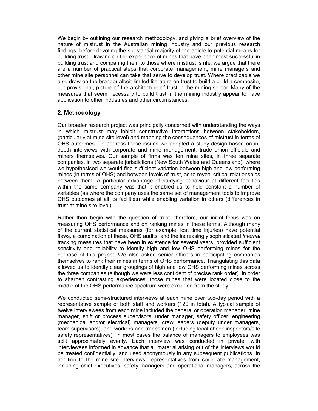We begin by outlining our research methodology, and giving a brief overview of the nature of mistrust in the Australian mining industry and our previous research findings, before devoting the substantial majority of the article to potential means for building trust. Drawing on the experience of mines that have been most successful in building trust and comparing them to those where mistrust is rife, we argue that there are a number of practical steps that corporate management, mine managers and other mine site personnel can take that serve to develop trust. Where practicable we also draw on the broader albeit limited literature on trust to build a build a composite, but provisional, picture of the architecture of trust in the mining sector. Many of the measures that seem necessary to build trust in the mining industry appear to have application to other industries and other circumstances.

# **2. Methodology**

Our broader research project was principally concerned with understanding the ways in which mistrust may inhibit constructive interactions between stakeholders, (particularly at mine site level) and mapping the consequences of mistrust in terms of OHS outcomes. To address these issues we adopted a study design based on indepth interviews with corporate and mine management, trade union officials and miners themselves. Our sample of firms was ten mine sites, in three separate companies, in two separate jurisdictions (New South Wales and Queensland), where we hypothesised we would find sufficient variation between high and low performing mines (in terms of OHS) and between levels of trust, as to reveal critical relationships between them. A particular advantage of studying behaviour at different facilities within the same company was that it enabled us to hold constant a number of variables (as where the company uses the same set of management tools to improve OHS outcomes at all its facilities) while enabling variation in others (differences in trust at mine site level).

Rather than begin with the question of trust, therefore, our initial focus was on measuring OHS performance and on ranking mines in these terms. Although many of the current statistical measures (for example, lost time injuries) have potential flaws, a combination of these, OHS audits, and the increasingly sophisticated *internal* tracking measures that have been in existence for several years, provided sufficient sensitivity and reliability to identify high and low OHS performing mines for the purpose of this project. We also asked senior officers in participating companies themselves to rank their mines in terms of OHS performance. Triangulating this data allowed us to identity clear groupings of high and low OHS performing mines across the three companies (although we were less confident of precise rank order). In order to sharpen contrasting experiences, those mines that were located close to the middle of the OHS performance spectrum were excluded from the study.

We conducted semi-structured interviews at each mine over two-day period with a representative sample of both staff and workers (120 in total). A typical sample of twelve interviewees from each mine included the general or operation manager, mine manager, shift or process supervisors, under manager, safety officer, engineering (mechanical and/or electrical) managers, crew leaders (deputy under managers, team supervisors), and workers and tradesmen (including local check inspectors/site safety representatives). In most cases the balance of managers to employees was split approximately evenly. Each interview was conducted in private, with interviewees informed in advance that all material arising out of the interviews would be treated confidentially, and used anonymously in any subsequent publications. In addition to the mine site interviews, representatives from corporate management, including chief executives, safety managers and operational managers, across the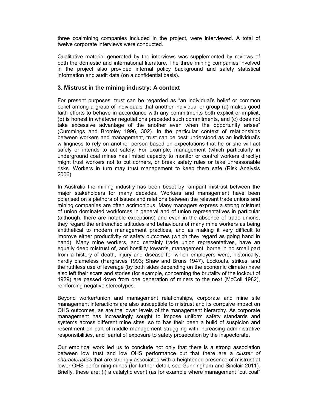three coalmining companies included in the project, were interviewed. A total of twelve corporate interviews were conducted.

Qualitative material generated by the interviews was supplemented by reviews of both the domestic and international literature. The three mining companies involved in the project also provided internal policy background and safety statistical information and audit data (on a confidential basis).

## **3. Mistrust in the mining industry: A context**

For present purposes, trust can be regarded as "an individual's belief or common belief among a group of individuals that another individual or group (a) makes good faith efforts to behave in accordance with any commitments both explicit or implicit, (b) is honest in whatever negotiations preceded such commitments, and (c) does not take excessive advantage of the another even when the opportunity arises" (Cummings and Bromley 1996, 302). In the particular context of relationships between workers and management, trust can be best understood as an individual's willingness to rely on another person based on expectations that he or she will act safely or intends to act safely. For example, management (which particularly in underground coal mines has limited capacity to monitor or control workers directly) might trust workers not to cut corners, or break safety rules or take unreasonable risks. Workers in turn may trust management to keep them safe (Risk Analysis 2006).

In Australia the mining industry has been beset by rampant mistrust between the major stakeholders for many decades. Workers and management have been polarised on a plethora of issues and relations between the relevant trade unions and mining companies are often acrimonious. Many managers express a strong mistrust of union dominated workforces in general and of union representatives in particular (although, there are notable exceptions) and even in the absence of trade unions, they regard the entrenched attitudes and behaviours of many mine workers as being antithetical to modern management practices, and as making it very difficult to improve either productivity or safety outcomes (which they regard as going hand in hand). Many mine workers, and certainly trade union representatives, have an equally deep mistrust of, and hostility towards, management, borne in no small part from a history of death, injury and disease for which employers were, historically, hardly blameless (Hargraves 1993; Shaw and Bruns 1947). Lockouts, strikes, and the ruthless use of leverage (by both sides depending on the economic climate) have also left their scars and stories (for example, concerning the brutality of the lockout of 1929) are passed down from one generation of miners to the next (McColl 1982), reinforcing negative stereotypes.

Beyond worker/union and management relationships, corporate and mine site management interactions are also susceptible to mistrust and its corrosive impact on OHS outcomes, as are the lower levels of the management hierarchy. As corporate management has increasingly sought to impose uniform safety standards and systems across different mine sites, so to has their been a build of suspicion and resentment on part of middle management struggling with increasing administrative responsibilities, and fearful of exposure to safety prosecution by the inspectorate.

Our empirical work led us to conclude not only that there is a strong association between low trust and low OHS performance but that there are a *cluster of characteristics* that are strongly associated with a heightened presence of mistrust at lower OHS performing mines (for further detail, see Gunningham and Sinclair 2011). Briefly, these are: (i) a catalytic event (as for example where management "cut coal"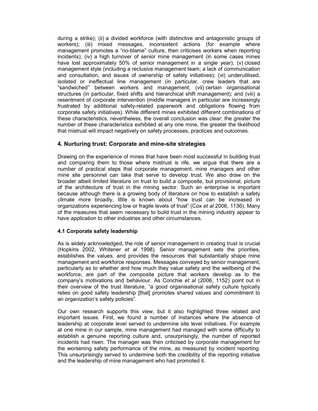during a strike); (ii) a divided workforce (with distinctive and antagonistic groups of workers); (iii) mixed messages, inconsistent actions (for example where management promotes a "no-blame" culture, then criticises workers when reporting incidents); (iv) a high turnover of senior mine management (in some cases mines have lost approximately 50% of senior management in a single year); (v) closed management style (including a reclusive management team; a lack of communication and consultation, and issues of ownership of safety initiatives); (vi) underutilised, isolated or ineffectual line management (in particular, crew leaders that are "sandwiched" between workers and management; (vii) certain organisational structures (in particular, fixed shifts and hierarchical shift management); and (viii) a resentment of corporate intervention (middle managers in particular are increasingly frustrated by additional safety-related paperwork and obligations flowing from corporate safety initiatives). While different mines exhibited different combinations of these characteristics, nevertheless, the overall conclusion was clear: the greater the number of these characteristics exhibited at any one mine, the greater the likelihood that mistrust will impact negatively on safety processes, practices and outcomes.

# **4. Nurturing trust: Corporate and mine-site strategies**

Drawing on the experience of mines that have been most successful in building trust and comparing them to those where mistrust is rife, we argue that there are a number of practical steps that corporate management, mine managers and other mine site personnel can take that serve to develop trust. We also draw on the broader albeit limited literature on trust to build a composite, but provisional, picture of the architecture of trust in the mining sector. Such an enterprise is important because although there is a growing body of literature on how to establish a safety climate more broadly, little is known about "how trust can be increased in organizations experiencing low or fragile levels of trust" (Cox *et al* 2006, 1136). Many of the measures that seem necessary to build trust in the mining industry appear to have application to other industries and other circumstances.

# **4.1 Corporate safety leadership**

As is widely acknowledged, the role of senior management in creating trust is crucial (Hopkins 2002, Whitener *et al* 1998). Senior management sets the priorities, establishes the values, and provides the resources that substantially shape mine management and workforce responses. Messages conveyed by senior management, particularly as to whether and how much they value safety and the wellbeing of the workforce, are part of the composite picture that workers develop as to the company's motivations and behaviour. As Conchie *et al* (2006, 1152) point out in their overview of the trust literature, "a good organisational safety culture typically relies on good safety leadership [that] promotes shared values and commitment to an organization's safety policies".

Our own research supports this view, but it also highlighted three related and important issues. First, we found a number of instances where the absence of leadership at corporate level served to undermine site level initiatives. For example at one mine in our sample, mine management had managed with some difficulty to establish a genuine reporting culture and, unsurprisingly, the number of reported incidents had risen. The manager was then criticised by corporate management for the worsening safety performance of the mine, as measured by incident reporting. This unsurprisingly served to undermine both the credibility of the reporting initiative and the leadership of mine management who had promoted it.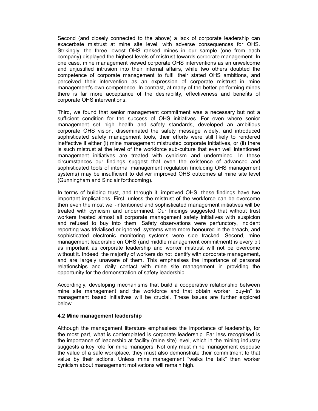Second (and closely connected to the above) a lack of corporate leadership can exacerbate mistrust at mine site level, with adverse consequences for OHS. Strikingly, the three lowest OHS ranked mines in our sample (one from each company) displayed the highest levels of mistrust towards corporate management. In one case, mine management viewed corporate OHS interventions as an unwelcome and unjustified intrusion into their internal affairs, while two others doubted the competence of corporate management to fulfil their stated OHS ambitions, and perceived their intervention as an expression of corporate mistrust in mine management's own competence. In contrast, at many of the better performing mines there is far more acceptance of the desirability, effectiveness and benefits of corporate OHS interventions.

Third, we found that senior management commitment was a necessary but not a sufficient condition for the success of OHS initiatives. For even where senior management set high health and safety standards, developed an ambitious corporate OHS vision, disseminated the safety message widely, and introduced sophisticated safety management tools, their efforts were still likely to rendered ineffective if either (i) mine management mistrusted corporate initiatives, or (ii) there is such mistrust at the level of the workforce sub-culture that even well intentioned management initiatives are treated with cynicism and undermined. In these circumstances our findings suggest that even the existence of advanced and sophisticated tools of internal management regulation (including OHS management systems) may be insufficient to deliver improved OHS outcomes at mine site level (Gunningham and Sinclair forthcoming).

In terms of building trust, and through it, improved OHS, these findings have two important implications. First, unless the mistrust of the workforce can be overcome then even the most well-intentioned and sophisticated management initiatives will be treated with cynicism and undermined. Our findings suggested that without trust workers treated almost all corporate management safety initiatives with suspicion and refused to buy into them. Safety observations were perfunctory, incident reporting was trivialised or ignored, systems were more honoured in the breach, and sophisticated electronic monitoring systems were side tracked. Second, mine management leadership on OHS (and middle management commitment) is every bit as important as corporate leadership and worker mistrust will not be overcome without it. Indeed, the majority of workers do not identify with corporate management, and are largely unaware of them. This emphasises the importance of personal relationships and daily contact with mine site management in providing the opportunity for the demonstration of safety leadership.

Accordingly, developing mechanisms that build a cooperative relationship between mine site management and the workforce and that obtain worker "buy-in" to management based initiatives will be crucial. These issues are further explored below.

#### **4.2 Mine management leadership**

Although the management literature emphasises the importance of leadership, for the most part, what is contemplated is corporate leadership. Far less recognised is the importance of leadership at facility (mine site) level, which in the mining industry suggests a key role for mine managers. Not only must mine management espouse the value of a safe workplace, they must also demonstrate their commitment to that value by their actions. Unless mine management "walks the talk" then worker cynicism about management motivations will remain high.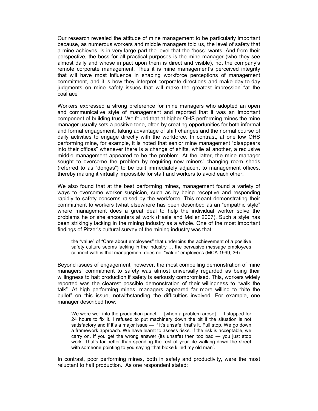Our research revealed the attitude of mine management to be particularly important because, as numerous workers and middle managers told us, the level of safety that a mine achieves, is in very large part the level that the "boss" wants. And from their perspective, the boss for all practical purposes is the mine manager (who they see almost daily and whose impact upon them is direct and visible), not the company's remote corporate management. Thus it is mine management's perceived integrity that will have most influence in shaping workforce perceptions of management commitment, and it is how they interpret corporate directions and make day-to-day judgments on mine safety issues that will make the greatest impression "at the coalface".

Workers expressed a strong preference for mine managers who adopted an open and communicative style of management and reported that it was an important component of building trust. We found that at higher OHS performing mines the mine manager usually sets a positive tone, often by creating opportunities for both informal and formal engagement, taking advantage of shift changes and the normal course of daily activities to engage directly with the workforce. In contrast, at one low OHS performing mine, for example, it is noted that senior mine management "disappears into their offices" whenever there is a change of shifts, while at another, a reclusive middle management appeared to be the problem. At the latter, the mine manager sought to overcome the problem by requiring new miners' changing room sheds (referred to as "dongas") to be built immediately adjacent to management offices, thereby making it virtually impossible for staff and workers to avoid each other.

We also found that at the best performing mines, management found a variety of ways to overcome worker suspicion, such as by being receptive and responding rapidly to safety concerns raised by the workforce. This meant demonstrating their commitment to workers (what elsewhere has been described as an "empathic style" where management does a great deal to help the individual worker solve the problems he or she encounters at work (Hasle and Møller 2007). Such a style has been strikingly lacking in the mining industry as a whole. One of the most important findings of Pitzer's cultural survey of the mining industry was that:

the "value" of "Care about employees" that underpins the achievement of a positive safety culture seems lacking in the industry … the pervasive message employees connect with is that management does not "value" employees (MCA 1999, 36).

Beyond issues of engagement, however, the most compelling demonstration of mine managers' commitment to safety was almost universally regarded as being their willingness to halt production if safety is seriously compromised. This, workers widely reported was the clearest possible demonstration of their willingness to "walk the talk". At high performing mines, managers appeared far more willing to "bite the bullet" on this issue, notwithstanding the difficulties involved. For example, one manager described how:

We were well into the production panel — [when a problem arose] — I stopped for 24 hours to fix it. I refused to put machinery down the pit if the situation is not satisfactory and if it's a major issue — if it's unsafe, that's it. Full stop. We go down a framework approach. We have learnt to assess risks. If the risk is acceptable, we carry on. If you get the wrong answer (its unsafe) then too bad — you just stop work. That's far better than spending the rest of your life walking down the street with someone pointing to you saying 'that bloke killed my old man'.

In contrast, poor performing mines, both in safety and productivity, were the most reluctant to halt production. As one respondent stated: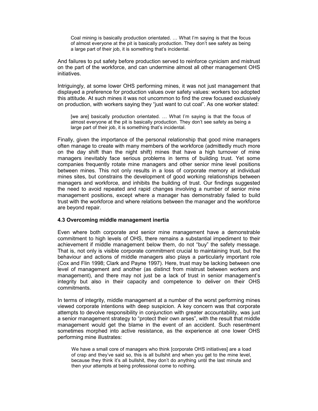Coal mining is basically production orientated. … What I'm saying is that the focus of almost everyone at the pit is basically production. They don't see safety as being a large part of their job, it is something that's incidental.

And failures to put safety before production served to reinforce cynicism and mistrust on the part of the workforce, and can undermine almost all other management OHS initiatives.

Intriguingly, at some lower OHS performing mines, it was not just management that displayed a preference for production values over safety values: workers too adopted this attitude. At such mines it was not uncommon to find the crew focused exclusively on production, with workers saying they "just want to cut coal". As one worker stated:

[we are] basically production orientated. … What I'm saying is that the focus of almost everyone at the pit is basically production. They don't see safety as being a large part of their job, it is something that's incidental.

Finally, given the importance of the personal relationship that good mine managers often manage to create with many members of the workforce (admittedly much more on the day shift than the night shift) mines that have a high turnover of mine managers inevitably face serious problems in terms of building trust. Yet some companies frequently rotate mine managers and other senior mine level positions between mines. This not only results in a loss of corporate memory at individual mines sites, but constrains the development of good working relationships between managers and workforce, and inhibits the building of trust. Our findings suggested the need to avoid repeated and rapid changes involving a number of senior mine management positions, except where a manager has demonstrably failed to build trust with the workforce and where relations between the manager and the workforce are beyond repair.

#### **4.3 Overcoming middle management inertia**

Even where both corporate and senior mine management have a demonstrable commitment to high levels of OHS, there remains a substantial impediment to their achievement if middle management below them, do not "buy" the safety message. That is, not only is visible corporate commitment crucial to maintaining trust, but the behaviour and actions of middle managers also plays a particularly important role (Cox and Flin 1998; Clark and Payne 1997). Here, trust may be lacking between one level of management and another (as distinct from mistrust between workers and management), and there may not just be a lack of trust in senior management's integrity but also in their capacity and competence to deliver on their OHS commitments.

In terms of integrity, middle management at a number of the worst performing mines viewed corporate intentions with deep suspicion. A key concern was that corporate attempts to devolve responsibility in conjunction with greater accountability, was just a senior management strategy to "protect their own arses", with the result that middle management would get the blame in the event of an accident. Such resentment sometimes morphed into active resistance, as the experience at one lower OHS performing mine illustrates:

We have a small core of managers who think [corporate OHS initiatives] are a load of crap and they've said so, this is all bullshit and when you get to the mine level, because they think it's all bullshit, they don't do anything until the last minute and then your attempts at being professional come to nothing.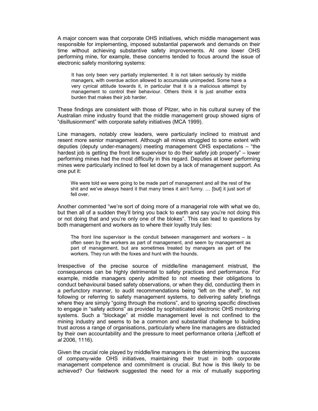A major concern was that corporate OHS initiatives, which middle management was responsible for implementing, imposed substantial paperwork and demands on their time without achieving substantive safety improvements. At one lower OHS performing mine, for example, these concerns tended to focus around the issue of electronic safety monitoring systems:

It has only been very partially implemented. It is not taken seriously by middle managers, with overdue action allowed to accumulate unimpeded. Some have a very cynical attitude towards it, in particular that it is a malicious attempt by management to control their behaviour. Others think it is just another extra burden that makes their job harder.

These findings are consistent with those of Pitzer, who in his cultural survey of the Australian mine industry found that the middle management group showed signs of "disillusionment" with corporate safety initiatives (MCA 1999).

Line managers, notably crew leaders, were particularly inclined to mistrust and resent more senior management. Although all mines struggled to some extent with deputies (deputy under-managers) meeting management OHS expectations – "the hardest job is getting the front line supervisor to do their safety job properly" – lower performing mines had the most difficulty in this regard. Deputies at lower performing mines were particularly inclined to feel let down by a lack of management support. As one put it:

We were told we were going to be made part of management and all the rest of the shit and we've always heard it that many times it ain't funny. … [but] it just sort of fell over.

Another commented "we're sort of doing more of a managerial role with what we do, but then all of a sudden they'll bring you back to earth and say you're not doing this or not doing that and you're only one of the blokes". This can lead to questions by both management and workers as to where their loyalty truly lies:

The front line supervisor is the conduit between management and workers  $-$  is often seen by the workers as part of management, and seem by management as part of management, but are sometimes treated by managers as part of the workers. They run with the foxes and hunt with the hounds.

Irrespective of the precise source of middle/line management mistrust, the consequences can be highly detrimental to safety practices and performance. For example, middle managers openly admitted to not meeting their obligations to conduct behavioural based safety observations, or when they did, conducting them in a perfunctory manner, to audit recommendations being "left on the shelf", to not following or referring to safety management systems, to delivering safety briefings where they are simply "going through the motions", and to ignoring specific directives to engage in "safety actions" as provided by sophisticated electronic OHS monitoring systems. Such a "blockage" at middle management level is not confined to the mining industry and seems to be a common and substantial challenge to building trust across a range of organisations, particularly where line managers are distracted by their own accountability and the pressure to meet performance criteria (Jeffcott *et al* 2006, 1116).

Given the crucial role played by middle/line managers in the determining the success of company-wide OHS initiatives, maintaining their trust in both corporate management competence and commitment is crucial. But how is this likely to be achieved? Our fieldwork suggested the need for a mix of mutually supporting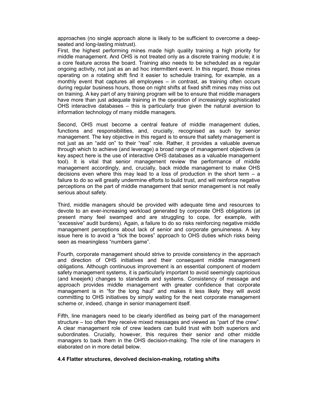approaches (no single approach alone is likely to be sufficient to overcome a deepseated and long-lasting mistrust).

First, the highest performing mines made high quality training a high priority for middle management. And OHS is not treated only as a discrete training module; it is a core feature across the board. Training also needs to be scheduled as a regular ongoing activity, not just as an ad hoc intermittent event. In this regard, those mines operating on a rotating shift find it easier to schedule training, for example, as a monthly event that captures all employees – in contrast, as training often occurs during regular business hours, those on night shifts at fixed shift mines may miss out on training. A key part of any training program will be to ensure that middle managers have more than just adequate training in the operation of increasingly sophisticated OHS interactive databases – this is particularly true given the natural aversion to information technology of many middle managers.

Second, OHS must become a central feature of middle management duties, functions and responsibilities, and, crucially, recognised as such by senior management. The key objective in this regard is to ensure that safety management is not just as an "add on" to their "real" role. Rather, it provides a valuable avenue through which to achieve (and leverage) a broad range of management objectives (a key aspect here is the use of interactive OHS databases as a valuable management tool). It is vital that senior management review the performance of middle management accordingly, and, crucially, back middle management to make OHS decisions even where this may lead to a loss of production in the short term  $-$  a failure to do so will greatly undermine efforts to build trust, and will reinforce negative perceptions on the part of middle management that senior management is not really serious about safety.

Third, middle managers should be provided with adequate time and resources to devote to an ever-increasing workload generated by corporate OHS obligations (at present many feel swamped and are struggling to cope, for example, with "excessive" audit burdens). Again, a failure to do so risks reinforcing negative middle management perceptions about lack of senior and corporate genuineness. A key issue here is to avoid a "tick the boxes" approach to OHS duties which risks being seen as meaningless "numbers game".

Fourth, corporate management should strive to provide consistency in the approach and direction of OHS initiatives and their consequent middle management obligations. Although continuous improvement is an essential component of modern safety management systems, it is particularly important to avoid seemingly capricious (and kneejerk) changes to standards and systems. Consistency of message and approach provides middle management with greater confidence that corporate management is in "for the long haul" and makes it less likely they will avoid committing to OHS initiatives by simply waiting for the next corporate management scheme or, indeed, change in senior management itself.

Fifth, line managers need to be clearly identified as being part of the management structure – too often they receive mixed messages and viewed as "part of the crew". A clear management role of crew leaders can build trust with both superiors and subordinates. Crucially, however, this requires their senior and other middle managers to back them in the OHS decision-making. The role of line managers in elaborated on in more detail below.

#### **4.4 Flatter structures, devolved decision-making, rotating shifts**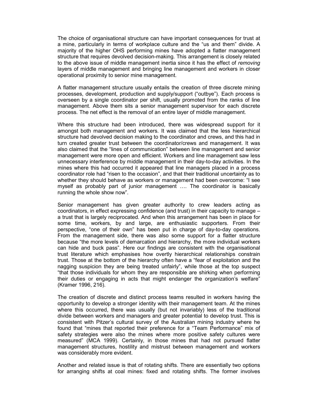The choice of organisational structure can have important consequences for trust at a mine, particularly in terms of workplace culture and the "us and them" divide. A majority of the higher OHS performing mines have adopted a flatter management structure that requires devolved decision-making. This arrangement is closely related to the above issue of middle management inertia since it has the effect of *removing* layers of middle management and bringing line management and workers in closer operational proximity to senior mine management.

A flatter management structure usually entails the creation of three discrete mining processes, development, production and supply/support ("outbye"). Each process is overseen by a single coordinator per shift, usually promoted from the ranks of line management. Above them sits a senior management supervisor for each discrete process. The net effect is the removal of an entire layer of middle management.

Where this structure had been introduced, there was widespread support for it amongst both management and workers. It was claimed that the less hierarchical structure had devolved decision making to the coordinator and crews, and this had in turn created greater trust between the coordinator/crews and management. It was also claimed that the "lines of communication" between line management and senior management were more open and efficient. Workers and line management saw less unnecessary interference by middle management in their day-to-day activities. In the mines where this had occurred it appeared that line managers placed in a process coordinator role had "risen to the occasion", and that their traditional uncertainty as to whether they should behave as workers or management had been overcome: "I see myself as probably part of junior management …. The coordinator is basically running the whole show now".

Senior management has given greater authority to crew leaders acting as coordinators, in effect expressing confidence (and trust) in their capacity to manage – a trust that is largely reciprocated. And when this arrangement has been in place for some time, workers, by and large, are enthusiastic supporters. From their perspective, "one of their own" has been put in charge of day-to-day operations. From the management side, there was also some support for a flatter structure because "the more levels of demarcation and hierarchy, the more individual workers can hide and buck pass". Here our findings are consistent with the organisational trust literature which emphasises how overtly hierarchical relationships constrain trust. Those at the bottom of the hierarchy often have a "fear of exploitation and the nagging suspicion they are being treated unfairly", while those at the top suspect "that those individuals for whom they are responsible are shirking when performing their duties or engaging in acts that might endanger the organization's welfare" (Kramer 1996, 216).

The creation of discrete and distinct process teams resulted in workers having the opportunity to develop a stronger identity with their management team. At the mines where this occurred, there was usually (but not invariably) less of the traditional divide between workers and managers and greater potential to develop trust. This is consistent with Pitzer's cultural survey of the Australian mining industry where he found that "mines that reported their preference for a "Team Performance" mix of safety strategies were also the mines where more positive safety cultures were measured" (MCA 1999). Certainly, in those mines that had not pursued flatter management structures, hostility and mistrust between management and workers was considerably more evident.

Another and related issue is that of rotating shifts. There are essentially two options for arranging shifts at coal mines: fixed and rotating shifts. The former involves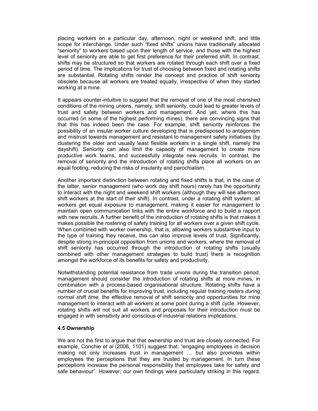placing workers on a particular day, afternoon, night or weekend shift, and little scope for interchange. Under such "fixed shifts" unions have traditionally allocated "seniority" to workers based upon their length of service, and those with the highest level of seniority are able to get first preference for their preferred shift. In contrast, shifts may be structured so that workers are rotated through each shift over a fixed period of time. The implications for trust of choosing between fixed and rotating shifts are substantial. Rotating shifts render the concept and practice of shift seniority obsolete because all workers are treated equally, irrespective of when they started working at a mine.

It appears counter-intuitive to suggest that the removal of one of the most cherished conditions of the mining unions, namely, shift seniority, could lead to greater levels of trust and safety between workers and management. And yet, where this has occurred (in some of the highest performing mines), there are convincing signs that that this has indeed been the case. For example, shift seniority reinforces the possibility of an insular worker culture developing that is predisposed to antagonism and mistrust towards management and resistant to management safety initiatives (by clustering the older and usually least flexible workers in a single shift, namely the dayshift). Seniority can also limit the capacity of management to create more productive work teams, and successfully integrate new recruits. In contrast, the removal of seniority and the introduction of rotating shifts place all workers on an equal footing, reducing the risks of insularity and parochialism.

Another important distinction between rotating and fixed shifts is that, in the case of the latter, senior management (who work day shift hours) rarely has the opportunity to interact with the night and weekend shift workers (although they will see afternoon shift workers at the start of their shift). In contrast, under a rotating shift system, all workers get equal exposure to management, making it easier for management to maintain open communication links with the entire workforce and to build a rapport with new recruits. A further benefit of the introduction of rotating shifts is that makes it makes possible the rostering of safety training for all workers over a given shift cycle. When combined with worker ownership, that is, allowing workers substantive input to the type of training they receive, this can also improve levels of trust. Significantly, despite strong in-principal opposition from unions and workers, where the removal of shift seniority has occurred through the introduction of rotating shifts (usually combined with other management strategies to build trust) there is recognition amongst the workforce of its benefits for safety and productivity.

Notwithstanding potential resistance from trade unions during the transition period, management should consider the introduction of rotating shifts at more mines, in combination with a process-based organisational structure. Rotating shifts have a number of crucial benefits for improving trust, including regular training rosters *during normal shift time,* the effective removal of shift seniority and opportunities for mine management to interact with all workers at some point during a shift cycle. However, rotating shifts will not suit all workers and proposals for their introduction must be engaged in with sensitivity and conscious of industrial relations implications.

#### **4.5 Ownership**

We are not the first to argue that that ownership and trust are closely connected. For example, Conchie *et al* (2006, 1101) suggest that: "engaging employees in decision making not only increases trust in management … but also promotes within employees the perceptions that they are trusted by management. In turn these perceptions increase the personal responsibility that employees take for safety and safe behaviour". However, our own findings were particularly striking in this regard.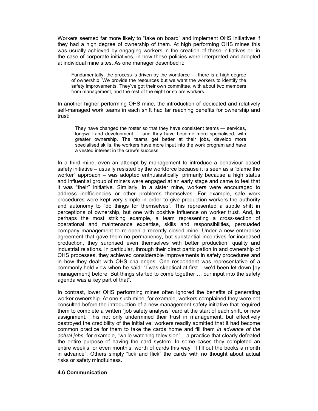Workers seemed far more likely to "take on board" and implement OHS initiatives if they had a high degree of ownership of them. At high performing OHS mines this was usually achieved by engaging workers in the creation of these initiatives or, in the case of corporate initiatives, in how these policies were interpreted and adopted at individual mine sites. As one manager described it:

Fundamentally, the process is driven by the workforce — there is a high degree of ownership. We provide the resources but we want the workers to identify the safety improvements. They've got their own committee, with about two members from management, and the rest of the eight or so are workers.

In another higher performing OHS mine, the introduction of dedicated and relatively self-managed work teams in each shift had far reaching benefits for ownership and trust:

They have changed the roster so that they have consistent teams — services, longwall and development — and they have become more specialised, with greater ownership. The teams get better at their jobs, develop more specialised skills, the workers have more input into the work program and have a vested interest in the crew's success.

In a third mine, even an attempt by management to introduce a behaviour based safety initiative – usually resisted by the workforce because it is seen as a "blame the worker" approach – was adopted enthusiastically, primarily because a high status and influential group of miners were engaged at an early stage and came to feel that it was "their" initiative. Similarly, in a sister mine, workers were encouraged to address inefficiencies or other problems themselves. For example, safe work procedures were kept very simple in order to give production workers the authority and autonomy to "do things for themselves". This represented a subtle shift in perceptions of ownership, but one with positive influence on worker trust. And, in perhaps the most striking example, a team representing a cross-section of operational and maintenance expertise, skills and responsibilities, persuaded company management to re-open a recently closed mine. Under a new enterprise agreement that gave them no permanency, but substantial incentives for increased production, they surprised even themselves with better production, quality and industrial relations. In particular, through their direct participation in and ownership of OHS processes, they achieved considerable improvements in safety procedures and in how they dealt with OHS challenges. One respondent was representative of a commonly held view when he said: "I was skeptical at first – we'd been let down [by management] before. But things started to come together … our input into the safety agenda was a key part of that".

In contrast, lower OHS performing mines often ignored the benefits of generating worker ownership. At one such mine, for example, workers complained they were not consulted before the introduction of a new management safety initiative that required them to complete a written "job safety analysis" card at the start of each shift, or new assignment. This not only undermined their trust in management, but effectively destroyed the credibility of the initiative: workers readily admitted that it had become common practice for them to take the cards home and fill them *in advance of the actual jobs*, for example, "while watching television" – a practice that clearly defeated the entire purpose of having the card system. In some cases they completed an entire week's, or even month's, worth of cards this way: "I fill out the books a month in advance". Others simply "tick and flick" the cards with no thought about actual risks or safety mindfulness.

#### **4.6 Communication**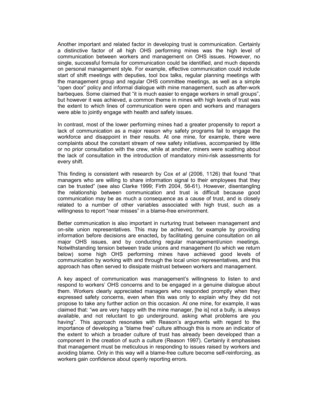Another important and related factor in developing trust is communication. Certainly a distinctive factor of all high OHS performing mines was the high level of communication between workers and management on OHS issues. However, no single, successful formula for communication could be identified, and much depends on personal management style. For example, effective communication could include start of shift meetings with deputies, tool box talks, regular planning meetings with the management group and regular OHS committee meetings, as well as a simple "open door" policy and informal dialogue with mine management, such as after-work barbeques. Some claimed that "it is much easier to engage workers in small groups", but however it was achieved, a common theme in mines with high levels of trust was the extent to which lines of communication were open and workers and managers were able to jointly engage with health and safety issues.

In contrast, most of the lower performing mines had a greater propensity to report a lack of communication as a major reason why safety programs fail to engage the workforce and disappoint in their results. At one mine, for example, there were complaints about the constant stream of new safety initiatives, accompanied by little or no prior consultation with the crew, while at another, miners were scathing about the lack of consultation in the introduction of mandatory mini-risk assessments for every shift.

This finding is consistent with research by Cox *et al* (2006, 1126) that found "that managers who are willing to share information signal to their employees that they can be trusted" (see also Clarke 1999; Firth 2004, 56-61). However, disentangling the relationship between communication and trust is difficult because good communication may be as much a consequence as a cause of trust, and is closely related to a number of other variables associated with high trust, such as a willingness to report "near misses" in a blame-free environment.

Better communication is also important in nurturing trust between management and on-site union representatives. This may be achieved, for example by providing information before decisions are enacted**,** by facilitating genuine consultation on all major OHS issues, and by conducting regular management/union meetings. Notwithstanding tension between trade unions and management (to which we return below) some high OHS performing mines have achieved good levels of communication by working with and through the local union representatives, and this approach has often served to dissipate mistrust between workers and management.

A key aspect of communication was management's willingness to listen to and respond to workers' OHS concerns and to be engaged in a genuine dialogue about them. Workers clearly appreciated managers who responded promptly when they expressed safety concerns, even when this was only to explain why they did not propose to take any further action on this occasion. At one mine, for example, it was claimed that: "we are very happy with the mine manager, [he is] not a bully, is always available, and not reluctant to go underground, asking what problems are you having". This approach resonates with Reason's arguments with regard to the importance of developing a "blame free" culture although this is more an indicator of the extent to which a broader culture of trust has already been developed than a component in the creation of such a culture (Reason 1997). Certainly it emphasises that management must be meticulous in responding to issues raised by workers and avoiding blame. Only in this way will a blame-free culture become self-reinforcing, as workers gain confidence about openly reporting errors.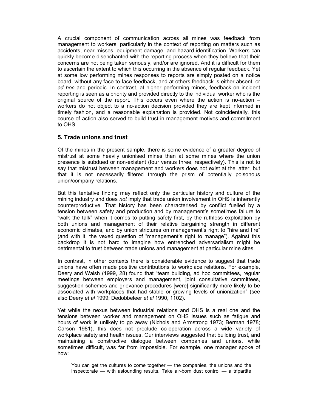A crucial component of communication across all mines was feedback from management to workers, particularly in the context of reporting on matters such as accidents, near misses, equipment damage, and hazard identification. Workers can quickly become disenchanted with the reporting process when they believe that their concerns are not being taken seriously, and/or are ignored. And it is difficult for them to ascertain the extent to which this occurring in the absence of regular feedback. Yet at some low performing mines responses to reports are simply posted on a notice board, without any face-to-face feedback, and at others feedback is either absent, or *ad hoc* and periodic. In contrast, at higher performing mines, feedback on incident reporting is seen as a priority and provided directly to the individual worker who is the original source of the report. This occurs even where the action is no-action – workers do not object to a no-action decision provided they are kept informed in timely fashion, and a reasonable explanation is provided. Not coincidentally, this course of action also served to build trust in management motives and commitment to OHS.

### **5. Trade unions and trust**

Of the mines in the present sample, there is some evidence of a greater degree of mistrust at some heavily unionised mines than at some mines where the union presence is subdued or non-existent (four versus three, respectively). This is not to say that mistrust between management and workers does not exist at the latter, but that it is not necessarily filtered through the prism of potentially poisonous union/company relations.

But this tentative finding may reflect only the particular history and culture of the mining industry and does *not* imply that trade union involvement in OHS is inherently counterproductive. That history has been characterised by conflict fuelled by a tension between safety and production and by management's sometimes failure to "walk the talk" when it comes to putting safety first, by the ruthless exploitation by both unions and management of their relative bargaining strength in different economic climates, and by union strictures on management's right to "hire and fire" (and with it, the vexed question of "management's right to manage"). Against this backdrop it is not hard to imagine how entrenched adversarialism might be detrimental to trust between trade unions and management at particular mine sites.

In contrast, in other contexts there is considerable evidence to suggest that trade unions have often made positive contributions to workplace relations. For example, Deery and Walsh (1999, 28) found that "team building, ad hoc committees, regular meetings between employers and management, joint consultative committees, suggestion schemes and grievance procedures [were] significantly more likely to be associated with workplaces that had stable or growing levels of unionization" (see also Deery *et al* 1999; Dedobbeleer *et al* 1990, 1102).

Yet while the nexus between industrial relations and OHS is a real one and the tensions between worker and management on OHS issues such as fatigue and hours of work is unlikely to go away (Nichols and Armstrong 1973; Berman 1978; Carson 1981), this does not preclude co-operation across a wide variety of workplace safety and health issues. Our interviews suggested that building trust, and maintaining a constructive dialogue between companies and unions, while sometimes difficult, was far from impossible. For example, one manager spoke of how:

You can get the cultures to come together — the companies, the unions and the inspectorate — with astounding results. Take air-born dust control — a tripartite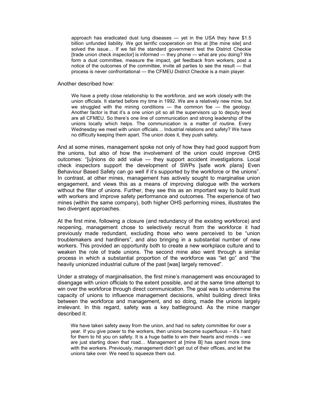approach has eradicated dust lung diseases — yet in the USA they have \$1.5 billion unfunded liability. We got terrific cooperation on this at [the mine site] and solved the issue… If we fail the standard government test the District Checkie [trade union check inspector] is informed — they phone — what are you doing? We form a dust committee, measure the impact, get feedback from workers, post a notice of the outcomes of the committee, invite all parties to see the result — that process is never confrontational — the CFMEU District Checkie is a main player.

Another described how:

We have a pretty close relationship to the workforce, and we work closely with the union officials. It started before my time in 1992. We are a relatively new mine, but we struggled with the mining conditions  $-$  the common foe  $-$  the geology. Another factor is that it's a one union pit so all the supervisors up to deputy level are all CFMEU. So there's one line of communication and strong leadership of the unions locally which helps. The communication is a matter of routine. Every Wednesday we meet with union officials… Industrial relations and safety? We have no difficulty keeping them apart. The union does it, they push safety.

And at some mines, management spoke not only of how they had good support from the unions, but also of how the involvement of the union could improve OHS outcomes: "[u]nions do add value — they support accident investigations. Local check inspectors support the development of SWPs [safe work plans] Even Behaviour Based Safety can go well if it's supported by the workforce or the unions". In contrast, at other mines, management has actively sought to marginalise union engagement, and views this as a means of improving dialogue with the workers without the filter of unions. Further, they see this as an important way to build trust with workers and improve safety performance and outcomes. The experience of two mines (within the same company), both higher OHS performing mines, illustrates the two divergent approaches.

At the first mine, following a closure (and redundancy of the existing workforce) and reopening, management chose to selectively recruit from the workforce it had previously made redundant, excluding those who were perceived to be "union troublemakers and hardliners", and also bringing in a substantial number of new workers. This provided an opportunity both to create a new workplace culture and to weaken the role of trade unions. The second mine also went through a similar process in which a substantial proportion of the workforce was "let go" and "the heavily unionized industrial culture of the past [was] largely removed".

Under a strategy of marginalisation, the first mine's management was encouraged to disengage with union officials to the extent possible, and at the same time attempt to win over the workforce through direct communication. The goal was to undermine the capacity of unions to influence management decisions, whilst building direct links between the workforce and management, and so doing, made the unions largely irrelevant. In this regard, safety was a key battleground. As the mine manger described it:

We have taken safety away from the union, and had no safety committee for over a year. If you give power to the workers, then unions become superfluous – it's hard for them to hit you on safety. It is a huge battle to win their hearts and minds – we are just starting down that road… Management at [mine B] has spent more time with the workers. Previously, management didn't get out of their offices, and let the unions take over. We need to squeeze them out.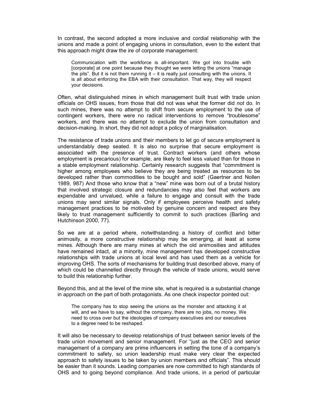In contrast, the second adopted a more inclusive and cordial relationship with the unions and made a point of engaging unions in consultation, even to the extent that this approach might draw the ire of corporate management:

Communication with the workforce is all-important. We got into trouble with [corporate] at one point because they thought we were letting the unions "manage the pits". But it is not them running it  $-$  it is really just consulting with the unions. It is all about enforcing the EBA with their consultation. That way, they will respect your decisions.

Often, what distinguished mines in which management built trust with trade union officials on OHS issues, from those that did not was what the former did *not* do. In such mines, there was no attempt to shift from secure employment to the use of contingent workers, there were no radical interventions to remove "troublesome" workers, and there was no attempt to exclude the union from consultation and decision-making. In short, they did not adopt a policy of marginalisation.

The resistance of trade unions and their members to let go of secure employment is understandably deep seated. It is also no surprise that secure employment is associated with the presence of trust. Contract workers (and others whose employment is precarious) for example, are likely to feel less valued than for those in a stable employment relationship. Certainly research suggests that "commitment is higher among employees who believe they are being treated as resources to be developed rather than commodities to be bought and sold" (Gaertner and Nollen 1989, 987) And those who know that a "new" mine was born out of a brutal history that involved strategic closure and redundancies may also feel that workers are expendable and unvalued, while a failure to engage and consult with the trade unions may send similar signals. Only if employees perceive health and safety management practices to be motivated by genuine concern and respect are they likely to trust management sufficiently to commit to such practices (Barling and Hutchinson 2000, 77).

So we are at a period where, notwithstanding a history of conflict and bitter animosity, a more constructive relationship may be emerging, at least at some mines. Although there are many mines at which the old animosities and attitudes have remained intact, at a minority, mine management has developed constructive relationships with trade unions at local level and has used them as a vehicle for improving OHS. The sorts of mechanisms for building trust described above, many of which could be channelled directly through the vehicle of trade unions, would serve to build this relationship further.

Beyond this, and at the level of the mine site, what is required is a substantial change in approach on the part of both protagonists. As one check inspector pointed out:

The company has to stop seeing the unions as the monster and attacking it at will, and we have to say, without the company, there are no jobs, no money. We need to cross over but the ideologies of company executives and our executives to a degree need to be reshaped.

It will also be necessary to develop relationships of trust between senior levels of the trade union movement and senior management. For "just as the CEO and senior management of a company are prime influencers in setting the tone of a company's commitment to safety, so union leadership must make very clear the expected approach to safety issues to be taken by union members and officials". This should be easier than it sounds. Leading companies are now committed to high standards of OHS and to going beyond compliance. And trade unions, in a period of particular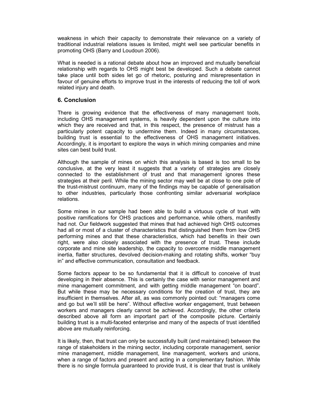weakness in which their capacity to demonstrate their relevance on a variety of traditional industrial relations issues is limited, might well see particular benefits in promoting OHS (Barry and Loudoun 2006).

What is needed is a rational debate about how an improved and mutually beneficial relationship with regards to OHS might best be developed. Such a debate cannot take place until both sides let go of rhetoric, posturing and misrepresentation in favour of genuine efforts to improve trust in the interests of reducing the toll of work related injury and death.

## **6. Conclusion**

There is growing evidence that the effectiveness of many management tools, including OHS management systems, is heavily dependent upon the culture into which they are received and that, in this respect, the presence of mistrust has a particularly potent capacity to undermine them. Indeed in many circumstances, building trust is essential to the effectiveness of OHS management initiatives. Accordingly, it is important to explore the ways in which mining companies and mine sites can best build trust.

Although the sample of mines on which this analysis is based is too small to be conclusive, at the very least it suggests that a variety of strategies are closely connected to the establishment of trust and that management ignores these strategies at their peril. While the mining sector may well be at close to one pole of the trust-mistrust continuum, many of the findings may be capable of generalisation to other industries, particularly those confronting similar adversarial workplace relations.

Some mines in our sample had been able to build a virtuous cycle of trust with positive ramifications for OHS practices and performance, while others, manifestly had not. Our fieldwork suggested that mines that had achieved high OHS outcomes had all or most of a cluster of characteristics that distinguished them from low OHS performing mines and that these characteristics, which had benefits in their own right, were also closely associated with the presence of trust. These include corporate and mine site leadership, the capacity to overcome middle management inertia, flatter structures, devolved decision-making and rotating shifts, worker "buy in" and effective communication, consultation and feedback.

Some factors appear to be so fundamental that it is difficult to conceive of trust developing in their absence. This is certainly the case with senior management and mine management commitment, and with getting middle management "on board". But while these may be necessary conditions for the creation of trust, they are insufficient in themselves. After all, as was commonly pointed out: "managers come and go but we'll still be here". Without effective worker engagement, trust between workers and managers clearly cannot be achieved. Accordingly, the other criteria described above all form an important part of the composite picture. Certainly building trust is a multi-faceted enterprise and many of the aspects of trust identified above are mutually reinforcing.

It is likely, then, that trust can only be successfully built (and maintained) between the range of stakeholders in the mining sector, including corporate management, senior mine management, middle management, line management, workers and unions, when a range of factors and present and acting in a complementary fashion. While there is no single formula guaranteed to provide trust, it is clear that trust is unlikely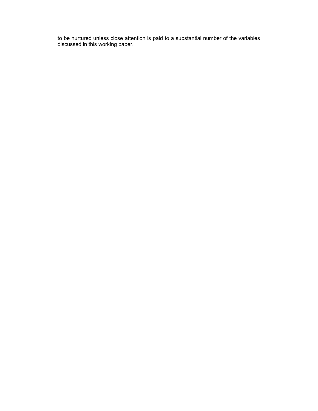to be nurtured unless close attention is paid to a substantial number of the variables discussed in this working paper.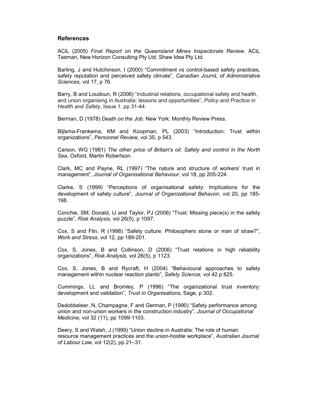#### **References**

ACiL (2005) *Final Report on the Queensland Mines Inspectorate Review*. ACiL Tasman, New Horizon Consulting Pty Ltd, Shaw Idea Pty Ltd.

Barling, J and Hutchinson, I (2000) "Commitment vs control-based safety practices, safety reputation and perceived safety climate", *Canadian JournL of Administrative Sciences,* vol 17, p 76.

Barry, B and Loudoun, R (2006) "Industrial relations, occupational safety and health, and union organising in Australia: lessons and opportunities", *Policy and Practice in Health and Safety*, Issue 1, pp 31-44.

Berman, D (1978) *Death on the Job*. New York: Monthly Review Press.

Bijlsma-Frankema, KM and Koopman, PL (2003) "Introduction: Trust within organizations", *Personnel Review*, vol 35, p 543.

Carson, WG (1981) *The other price of Britain*'*s oil: Safety and control in the North Sea*, Oxford, Martin Robertson.

Clark, MC and Payne, RL (1997) "The nature and structure of workers' trust in management", *Journal of Organisational Behaviour*, vol 18, pp 205-224.

Clarke, S (1999) "Perceptions of organisational safety: Implications for the development of safety culture", *Journal of Organizational Behavior*, vol 20, pp 185- 198.

Conchie, SM, Donald, IJ and Taylor, PJ (2006) "Trust: Missing piece(s) in the safety puzzle", *Risk Analysis*, vol 26(5), p 1097.

Cox, S and Flin, R (1998) "Safety culture: Philosophers stone or man of straw?", *Work and Stress*, vol 12, pp 189-201.

Cox, S, Jones, B and Collinson, D (2006) "Trust relations in high reliability organizations", *Risk Analysis*, vol 26(5), p 1123.

Cox, S, Jones, B and Rycraft, H (2004) "Behavioural approaches to safety management within nuclear reaction plants", *Safety Science*, vol 42 p 825.

Cummings, LL and Bromley, P (1996) "The organizational trust inventory: development and validation", *Trust in Organisations*, Sage, p 302.

Dedobbeleer, N, Champagne, F and German, P (1990) "Safety performance among union and non-union workers in the construction industry", *Journal of Occupational Medicine,* vol 32 (11), pp 1099-1103.

Deery, S and Walsh, J (1999) "Union decline in Australia: The role of human resource management practices and the union-hostile workplace", *Australian Journal of Labour Law,* vol 12(2), pp 21–31.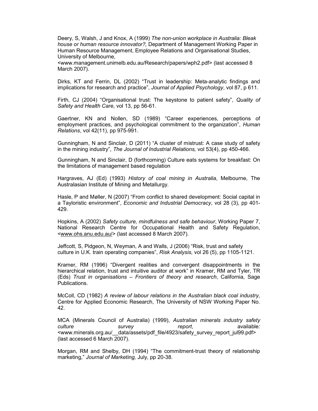Deery, S, Walsh, J and Knox, A (1999) *The non-union workplace in Australia: Bleak house or human resource innovator?,* Department of Management Working Paper in Human Resource Management, Employee Relations and Organisational Studies, University of Melbourne,

<www.management.unimelb.edu.au/Research/papers/wph2.pdf> (last accessed 8 March 2007).

Dirks, KT and Ferrin, DL (2002) "Trust in leadership: Meta-analytic findings and implications for research and practice", *Journal of Applied Psychology*, vol 87, p 611.

Firth, CJ (2004) "Organisational trust: The keystone to patient safety", *Quality of Safety and Health Care*, vol 13, pp 56-61.

Gaertner, KN and Nollen, SD (1989) "Career experiences, perceptions of employment practices, and psychological commitment to the organization", *Human Relations*, vol 42(11), pp 975-991.

Gunningham, N and Sinclair, D (2011) "A cluster of mistrust: A case study of safety in the mining industry", *The Journal of Industrial Relations,* vol 53(4), pp 450-466.

Gunningham, N and Sinclair, D (forthcoming) Culture eats systems for breakfast: On the limitations of management based regulation

Hargraves, AJ (Ed) (1993) *History of coal mining in Australia*, Melbourne, The Australasian Institute of Mining and Metallurgy.

Hasle, P and Møller, N (2007) "From conflict to shared development: Social capital in a Tayloristic environment", *Economic and Industrial Democracy*, vol 28 (3), pp 401- 429.

Hopkins, A (2002) *Safety culture, mindfulness and safe behaviour*, Working Paper 7, National Research Centre for Occupational Health and Safety Regulation, <www.ohs.anu.edu.au/> (last accessed 8 March 2007).

Jeffcott, S, Pidgeon, N, Weyman, A and Walls, J (2006) "Risk, trust and safety culture in U.K. train operating companies", *Risk Analysis,* vol 26 (5), pp 1105-1121.

Kramer, RM (1996) "Divergent realities and convergent disappointments in the hierarchical relation, trust and intuitive auditor at work" in Kramer, RM and Tyler, TR (Eds) *Trust in organisations – Frontiers of theory and research*, California, Sage Publications.

McColl, CD (1982) *A review of labour relations in the Australian black coal industry,*  Centre for Applied Economic Research, The University of NSW Working Paper No. 42.

MCA (Minerals Council of Australia) (1999), *Australian minerals industry safety culture survey report*, available*:*  <www.minerals.org.au/\_\_data/assets/pdf\_file/4923/safety\_survey\_report\_jul99.pdf> (last accessed 6 March 2007).

Morgan, RM and Shelby, DH (1994) "The commitment-trust theory of relationship marketing," *Journal of Marketing,* July, pp 20-38.